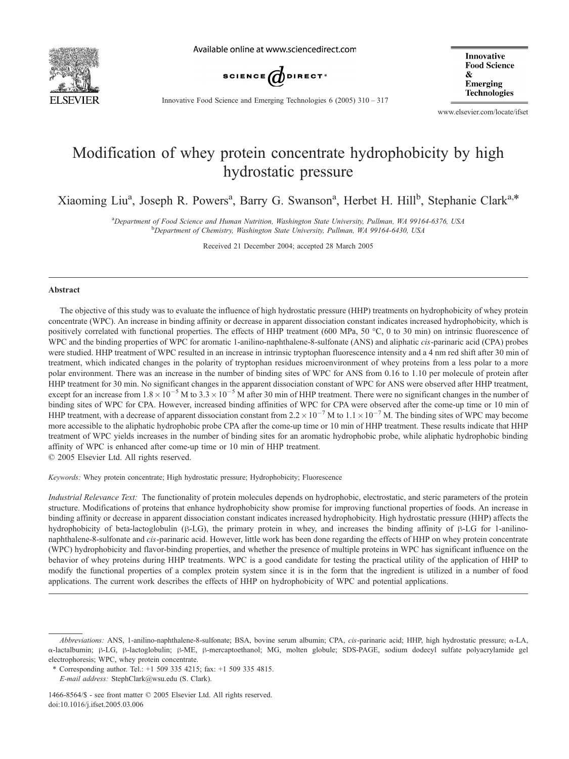

Available online at www.sciencedirect.com



**Innovative Food Science**  $\mathbf{x}$ **Emerging** Technologies

Innovative Food Science and Emerging Technologies 6 (2005) 310 – 317

www.elsevier.com/locate/ifset

# Modification of whey protein concentrate hydrophobicity by high hydrostatic pressure

Xiaoming Liu<sup>a</sup>, Joseph R. Powers<sup>a</sup>, Barry G. Swanson<sup>a</sup>, Herbet H. Hill<sup>b</sup>, Stephanie Clark<sup>a,\*</sup>

<sup>a</sup>Department of Food Science and Human Nutrition, Washington State University, Pullman, WA 99164-6376, USA<br><sup>b</sup>Department of Chemistry, Washington State University, Pullman, WA 99164-6439, USA <sup>b</sup>Department of Chemistry, Washington State University, Pullman, WA 99164-6430, USA

Received 21 December 2004; accepted 28 March 2005

#### Abstract

The objective of this study was to evaluate the influence of high hydrostatic pressure (HHP) treatments on hydrophobicity of whey protein concentrate (WPC). An increase in binding affinity or decrease in apparent dissociation constant indicates increased hydrophobicity, which is positively correlated with functional properties. The effects of HHP treatment (600 MPa, 50 °C, 0 to 30 min) on intrinsic fluorescence of WPC and the binding properties of WPC for aromatic 1-anilino-naphthalene-8-sulfonate (ANS) and aliphatic *cis*-parinaric acid (CPA) probes were studied. HHP treatment of WPC resulted in an increase in intrinsic tryptophan fluorescence intensity and a 4 nm red shift after 30 min of treatment, which indicated changes in the polarity of tryptophan residues microenvironment of whey proteins from a less polar to a more polar environment. There was an increase in the number of binding sites of WPC for ANS from 0.16 to 1.10 per molecule of protein after HHP treatment for 30 min. No significant changes in the apparent dissociation constant of WPC for ANS were observed after HHP treatment, except for an increase from  $1.8 \times 10^{-5}$  M to  $3.3 \times 10^{-5}$  M after 30 min of HHP treatment. There were no significant changes in the number of binding sites of WPC for CPA. However, increased binding affinities of WPC for CPA were observed after the come-up time or 10 min of HHP treatment, with a decrease of apparent dissociation constant from  $2.2 \times 10^{-7}$  M to  $1.1 \times 10^{-7}$  M. The binding sites of WPC may become more accessible to the aliphatic hydrophobic probe CPA after the come-up time or 10 min of HHP treatment. These results indicate that HHP treatment of WPC yields increases in the number of binding sites for an aromatic hydrophobic probe, while aliphatic hydrophobic binding affinity of WPC is enhanced after come-up time or 10 min of HHP treatment.

 $© 2005 Elsevier Ltd. All rights reserved.$ 

Keywords: Whey protein concentrate; High hydrostatic pressure; Hydrophobicity; Fluorescence

Industrial Relevance Text: The functionality of protein molecules depends on hydrophobic, electrostatic, and steric parameters of the protein structure. Modifications of proteins that enhance hydrophobicity show promise for improving functional properties of foods. An increase in binding affinity or decrease in apparent dissociation constant indicates increased hydrophobicity. High hydrostatic pressure (HHP) affects the hydrophobicity of beta-lactoglobulin ( $\beta$ -LG), the primary protein in whey, and increases the binding affinity of  $\beta$ -LG for 1-anilinonaphthalene-8-sulfonate and cis-parinaric acid. However, little work has been done regarding the effects of HHP on whey protein concentrate (WPC) hydrophobicity and flavor-binding properties, and whether the presence of multiple proteins in WPC has significant influence on the behavior of whey proteins during HHP treatments. WPC is a good candidate for testing the practical utility of the application of HHP to modify the functional properties of a complex protein system since it is in the form that the ingredient is utilized in a number of food applications. The current work describes the effects of HHP on hydrophobicity of WPC and potential applications.

Abbreviations: ANS, 1-anilino-naphthalene-8-sulfonate; BSA, bovine serum albumin; CPA, *cis-parinaric acid*; HHP, high hydrostatic pressure;  $\alpha$ -LA, a-lactalbumin; h-LG, h-lactoglobulin; h-ME, h-mercaptoethanol; MG, molten globule; SDS-PAGE, sodium dodecyl sulfate polyacrylamide gel electrophoresis; WPC, whey protein concentrate.

<sup>\*</sup> Corresponding author. Tel.: +1 509 335 4215; fax: +1 509 335 4815.

E-mail address: StephClark@wsu.edu (S. Clark).

<sup>1466-8564/\$ -</sup> see front matter © 2005 Elsevier Ltd. All rights reserved. doi:10.1016/j.ifset.2005.03.006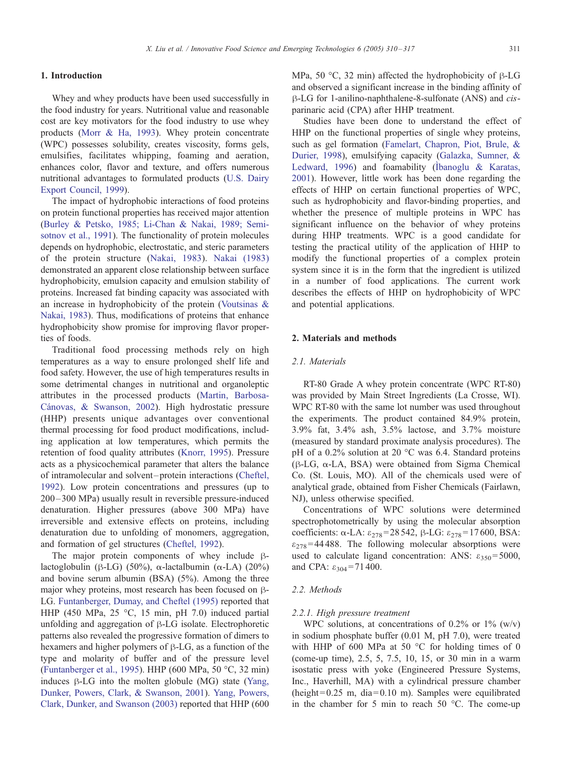#### 1. Introduction

Whey and whey products have been used successfully in the food industry for years. Nutritional value and reasonable cost are key motivators for the food industry to use whey products [\(Morr & Ha, 1993\)](#page-7-0). Whey protein concentrate (WPC) possesses solubility, creates viscosity, forms gels, emulsifies, facilitates whipping, foaming and aeration, enhances color, flavor and texture, and offers numerous nutritional advantages to formulated products ([U.S. Dairy](#page-7-0) Export Council, 1999).

The impact of hydrophobic interactions of food proteins on protein functional properties has received major attention ([Burley & Petsko, 1985; Li-Chan & Nakai, 1989; Semi](#page-7-0)sotnov et al., 1991). The functionality of protein molecules depends on hydrophobic, electrostatic, and steric parameters of the protein structure ([Nakai, 1983\)](#page-7-0). [Nakai \(1983\)](#page-7-0) demonstrated an apparent close relationship between surface hydrophobicity, emulsion capacity and emulsion stability of proteins. Increased fat binding capacity was associated with an increase in hydrophobicity of the protein ([Voutsinas &](#page-7-0) Nakai, 1983). Thus, modifications of proteins that enhance hydrophobicity show promise for improving flavor properties of foods.

Traditional food processing methods rely on high temperatures as a way to ensure prolonged shelf life and food safety. However, the use of high temperatures results in some detrimental changes in nutritional and organoleptic attributes in the processed products ([Martin, Barbosa-](#page-7-0)Cánovas, & Swanson, 2002). High hydrostatic pressure (HHP) presents unique advantages over conventional thermal processing for food product modifications, including application at low temperatures, which permits the retention of food quality attributes ([Knorr, 1995\)](#page-7-0). Pressure acts as a physicochemical parameter that alters the balance of intramolecular and solvent – protein interactions ([Cheftel,](#page-7-0) 1992). Low protein concentrations and pressures (up to 200 –300 MPa) usually result in reversible pressure-induced denaturation. Higher pressures (above 300 MPa) have irreversible and extensive effects on proteins, including denaturation due to unfolding of monomers, aggregation, and formation of gel structures ([Cheftel, 1992\)](#page-7-0).

The major protein components of whey include  $\beta$ lactoglobulin ( $\beta$ -LG) (50%),  $\alpha$ -lactalbumin ( $\alpha$ -LA) (20%) and bovine serum albumin (BSA) (5%). Among the three major whey proteins, most research has been focused on  $\beta$ -LG. [Funtanberger, Dumay, and Cheftel \(1995\)](#page-7-0) reported that HHP (450 MPa, 25 °C, 15 min, pH 7.0) induced partial unfolding and aggregation of  $\beta$ -LG isolate. Electrophoretic patterns also revealed the progressive formation of dimers to hexamers and higher polymers of  $\beta$ -LG, as a function of the type and molarity of buffer and of the pressure level ([Funtanberger et al., 1995\)](#page-7-0). HHP (600 MPa, 50  $^{\circ}$ C, 32 min) induces  $\beta$ -LG into the molten globule (MG) state ([Yang,](#page-7-0) Dunker, Powers, Clark, & Swanson, 2001). [Yang, Powers,](#page-7-0) Clark, Dunker, and Swanson (2003) reported that HHP (600

MPa, 50  $\degree$ C, 32 min) affected the hydrophobicity of  $\beta$ -LG and observed a significant increase in the binding affinity of B-LG for 1-anilino-naphthalene-8-sulfonate (ANS) and *cis*parinaric acid (CPA) after HHP treatment.

Studies have been done to understand the effect of HHP on the functional properties of single whey proteins, such as gel formation ([Famelart, Chapron, Piot, Brule, &](#page-7-0) Durier, 1998), emulsifying capacity ([Galazka, Sumner, &](#page-7-0) Ledward, 1996) and foamability (Ibanoglu & Karatas, 2001). However, little work has been done regarding the effects of HHP on certain functional properties of WPC, such as hydrophobicity and flavor-binding properties, and whether the presence of multiple proteins in WPC has significant influence on the behavior of whey proteins during HHP treatments. WPC is a good candidate for testing the practical utility of the application of HHP to modify the functional properties of a complex protein system since it is in the form that the ingredient is utilized in a number of food applications. The current work describes the effects of HHP on hydrophobicity of WPC and potential applications.

## 2. Materials and methods

#### 2.1. Materials

RT-80 Grade A whey protein concentrate (WPC RT-80) was provided by Main Street Ingredients (La Crosse, WI). WPC RT-80 with the same lot number was used throughout the experiments. The product contained 84.9% protein, 3.9% fat, 3.4% ash, 3.5% lactose, and 3.7% moisture (measured by standard proximate analysis procedures). The pH of a 0.2% solution at 20  $^{\circ}$ C was 6.4. Standard proteins  $(\beta$ -LG,  $\alpha$ -LA, BSA) were obtained from Sigma Chemical Co. (St. Louis, MO). All of the chemicals used were of analytical grade, obtained from Fisher Chemicals (Fairlawn, NJ), unless otherwise specified.

Concentrations of WPC solutions were determined spectrophotometrically by using the molecular absorption coefficients:  $\alpha$ -LA:  $\varepsilon_{278}$ =28 542,  $\beta$ -LG:  $\varepsilon_{278}$ =17600, BSA:  $\varepsilon_{278}$ =44488. The following molecular absorptions were used to calculate ligand concentration: ANS:  $\varepsilon_{350}$ =5000, and CPA:  $\varepsilon_{304}$  = 71 400.

### 2.2. Methods

#### 2.2.1. High pressure treatment

WPC solutions, at concentrations of  $0.2\%$  or  $1\%$  (w/v) in sodium phosphate buffer (0.01 M, pH 7.0), were treated with HHP of 600 MPa at 50  $\degree$ C for holding times of 0 (come-up time), 2.5, 5, 7.5, 10, 15, or 30 min in a warm isostatic press with yoke (Engineered Pressure Systems, Inc., Haverhill, MA) with a cylindrical pressure chamber (height =  $0.25$  m, dia =  $0.10$  m). Samples were equilibrated in the chamber for 5 min to reach 50  $^{\circ}$ C. The come-up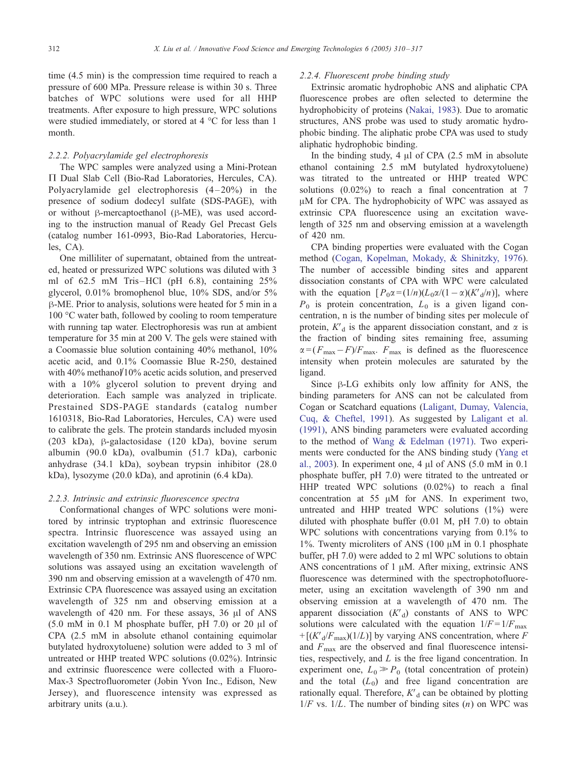time (4.5 min) is the compression time required to reach a pressure of 600 MPa. Pressure release is within 30 s. Three batches of WPC solutions were used for all HHP treatments. After exposure to high pressure, WPC solutions were studied immediately, or stored at  $4^{\circ}$ C for less than 1 month.

#### 2.2.2. Polyacrylamide gel electrophoresis

The WPC samples were analyzed using a Mini-Protean  $\Pi$  Dual Slab Cell (Bio-Rad Laboratories, Hercules, CA). Polyacrylamide gel electrophoresis  $(4-20\%)$  in the presence of sodium dodecyl sulfate (SDS-PAGE), with or without  $\beta$ -mercaptoethanol ( $\beta$ -ME), was used according to the instruction manual of Ready Gel Precast Gels (catalog number 161-0993, Bio-Rad Laboratories, Hercules, CA).

One milliliter of supernatant, obtained from the untreated, heated or pressurized WPC solutions was diluted with 3 ml of  $62.5$  mM Tris-HCl (pH  $6.8$ ), containing  $25\%$ glycerol, 0.01% bromophenol blue, 10% SDS, and/or 5% h-ME. Prior to analysis, solutions were heated for 5 min in a  $100 \, \text{°C}$  water bath, followed by cooling to room temperature with running tap water. Electrophoresis was run at ambient temperature for 35 min at 200 V. The gels were stained with a Coomassie blue solution containing 40% methanol, 10% acetic acid, and 0.1% Coomassie Blue R-250, destained with  $40\%$  methanol  $10\%$  acetic acids solution, and preserved with a  $10\%$  glycerol solution to prevent drying and deterioration. Each sample was analyzed in triplicate. Prestained SDS-PAGE standards (catalog number 1610318, Bio-Rad Laboratories, Hercules, CA) were used to calibrate the gels. The protein standards included myosin (203 kDa),  $\beta$ -galactosidase (120 kDa), bovine serum albumin (90.0 kDa), ovalbumin (51.7 kDa), carbonic anhydrase (34.1 kDa), soybean trypsin inhibitor (28.0 kDa), lysozyme (20.0 kDa), and aprotinin (6.4 kDa).

#### 2.2.3. Intrinsic and extrinsic fluorescence spectra

Conformational changes of WPC solutions were monitored by intrinsic tryptophan and extrinsic fluorescence spectra. Intrinsic fluorescence was assayed using an excitation wavelength of 295 nm and observing an emission wavelength of 350 nm. Extrinsic ANS fluorescence of WPC solutions was assayed using an excitation wavelength of 390 nm and observing emission at a wavelength of 470 nm. Extrinsic CPA fluorescence was assayed using an excitation wavelength of 325 nm and observing emission at a wavelength of 420 nm. For these assays, 36 µl of ANS  $(5.0 \text{ mM in } 0.1 \text{ M phosphate buffer, pH } 7.0)$  or 20  $\mu$ l of CPA (2.5 mM in absolute ethanol containing equimolar butylated hydroxytoluene) solution were added to 3 ml of untreated or HHP treated WPC solutions (0.02%). Intrinsic and extrinsic fluorescence were collected with a Fluoro-Max-3 Spectrofluorometer (Jobin Yvon Inc., Edison, New Jersey), and fluorescence intensity was expressed as arbitrary units (a.u.).

#### 2.2.4. Fluorescent probe binding study

Extrinsic aromatic hydrophobic ANS and aliphatic CPA fluorescence probes are often selected to determine the hydrophobicity of proteins ([Nakai, 1983\)](#page-7-0). Due to aromatic structures, ANS probe was used to study aromatic hydrophobic binding. The aliphatic probe CPA was used to study aliphatic hydrophobic binding.

In the binding study, 4  $\mu$ l of CPA (2.5 mM in absolute ethanol containing 2.5 mM butylated hydroxytoluene) was titrated to the untreated or HHP treated WPC solutions (0.02%) to reach a final concentration at 7  $\mu$ M for CPA. The hydrophobicity of WPC was assayed as extrinsic CPA fluorescence using an excitation wavelength of 325 nm and observing emission at a wavelength of 420 nm.

CPA binding properties were evaluated with the Cogan method ([Cogan, Kopelman, Mokady, & Shinitzky, 1976\)](#page-7-0). The number of accessible binding sites and apparent dissociation constants of CPA with WPC were calculated with the equation  $[P_0\alpha = (1/n)(L_0\alpha/(1-\alpha)(K_d/n)],$  where  $P_0$  is protein concentration,  $L_0$  is a given ligand concentration, n is the number of binding sites per molecule of protein,  $K<sub>d</sub>$  is the apparent dissociation constant, and  $\alpha$  is the fraction of binding sites remaining free, assuming  $\alpha = (F_{\text{max}} - F)/F_{\text{max}}$ .  $F_{\text{max}}$  is defined as the fluorescence intensity when protein molecules are saturated by the ligand.

Since  $\beta$ -LG exhibits only low affinity for ANS, the binding parameters for ANS can not be calculated from Cogan or Scatchard equations ([Laligant, Dumay, Valencia,](#page-7-0) Cuq, & Cheftel, 1991). As suggested by [Laligant et al.](#page-7-0) (1991), ANS binding parameters were evaluated according to the method of [Wang & Edelman \(1971\).](#page-7-0) Two experiments were conducted for the ANS binding study ([Yang et](#page-7-0) al., 2003). In experiment one, 4  $\mu$ l of ANS (5.0 mM in 0.1 phosphate buffer, pH 7.0) were titrated to the untreated or HHP treated WPC solutions (0.02%) to reach a final concentration at  $55 \mu M$  for ANS. In experiment two, untreated and HHP treated WPC solutions (1%) were diluted with phosphate buffer (0.01 M, pH 7.0) to obtain WPC solutions with concentrations varying from 0.1% to 1%. Twenty microliters of ANS (100  $\mu$ M in 0.1 phosphate buffer, pH 7.0) were added to 2 ml WPC solutions to obtain ANS concentrations of  $1 \mu M$ . After mixing, extrinsic ANS fluorescence was determined with the spectrophotofluoremeter, using an excitation wavelength of 390 nm and observing emission at a wavelength of 470 nm. The apparent dissociation  $(K<sub>d</sub>)$  constants of ANS to WPC solutions were calculated with the equation  $1/F = 1/F_{\text{max}}$  $+ [(K'_{d}/F_{max})(1/L)]$  by varying ANS concentration, where F and  $F_{\text{max}}$  are the observed and final fluorescence intensities, respectively, and L is the free ligand concentration. In experiment one,  $L_0 \gg P_0$  (total concentration of protein) and the total  $(L_0)$  and free ligand concentration are rationally equal. Therefore,  $K<sub>d</sub>$  can be obtained by plotting  $1/F$  vs.  $1/L$ . The number of binding sites  $(n)$  on WPC was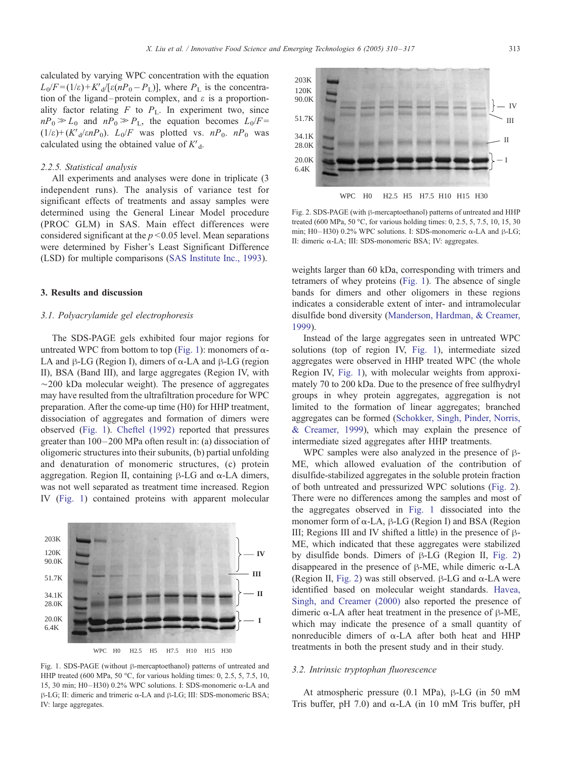<span id="page-3-0"></span>calculated by varying WPC concentration with the equation  $L_0/F = (1/\varepsilon) + K_d/[\varepsilon(nP_0 - P_L)]$ , where  $P_L$  is the concentration of the ligand-protein complex, and  $\varepsilon$  is a proportionality factor relating  $F$  to  $P_L$ . In experiment two, since  $nP_0 \gg L_0$  and  $nP_0 \gg P_L$ , the equation becomes  $L_0/F =$  $(1/\varepsilon)$ + $(K'_{d}/\varepsilon nP_{0})$ .  $L_{0}/F$  was plotted vs.  $nP_{0}$ .  $nP_{0}$  was calculated using the obtained value of  $K<sub>d</sub>$ .

#### 2.2.5. Statistical analysis

All experiments and analyses were done in triplicate (3 independent runs). The analysis of variance test for significant effects of treatments and assay samples were determined using the General Linear Model procedure (PROC GLM) in SAS. Main effect differences were considered significant at the  $p < 0.05$  level. Mean separations were determined by Fisher's Least Significant Difference (LSD) for multiple comparisons ([SAS Institute Inc., 1993\)](#page-7-0).

#### 3. Results and discussion

203K 120K

## 3.1. Polyacrylamide gel electrophoresis

The SDS-PAGE gels exhibited four major regions for untreated WPC from bottom to top (Fig. 1): monomers of  $\alpha$ -LA and  $\beta$ -LG (Region I), dimers of  $\alpha$ -LA and  $\beta$ -LG (region II), BSA (Band III), and large aggregates (Region IV, with  $\sim$ 200 kDa molecular weight). The presence of aggregates may have resulted from the ultrafiltration procedure for WPC preparation. After the come-up time (H0) for HHP treatment, dissociation of aggregates and formation of dimers were observed (Fig. 1). [Cheftel \(1992\)](#page-7-0) reported that pressures greater than 100 – 200 MPa often result in: (a) dissociation of oligomeric structures into their subunits, (b) partial unfolding and denaturation of monomeric structures, (c) protein aggregation. Region II, containing  $\beta$ -LG and  $\alpha$ -LA dimers, was not well separated as treatment time increased. Region IV (Fig. 1) contained proteins with apparent molecular

# 90.0K 51.7K 34.1K 28.0K 20.0K 6.4K WPC H0 H2.5 H5 H7.5 H10 H15 H30 **IV II I III** Fig. 1. SDS-PAGE (without  $\beta$ -mercaptoethanol) patterns of untreated and

HHP treated (600 MPa, 50 °C, for various holding times: 0, 2.5, 5, 7.5, 10, 15, 30 min; H0-H30) 0.2% WPC solutions. I: SDS-monomeric  $\alpha$ -LA and  $\beta$ -LG; II: dimeric and trimeric  $\alpha$ -LA and  $\beta$ -LG; III: SDS-monomeric BSA; IV: large aggregates.

weights larger than 60 kDa, corresponding with trimers and tetramers of whey proteins (Fig. 1). The absence of single bands for dimers and other oligomers in these regions II: dimeric a-LA; III: SDS-monomeric BSA; IV: aggregates.

treated (600 MPa, 50 °C, for various holding times: 0, 2.5, 5, 7.5, 10, 15, 30 min; H0-H30) 0.2% WPC solutions. I: SDS-monomeric  $\alpha$ -LA and  $\beta$ -LG;

indicates a considerable extent of inter- and intramolecular disulfide bond diversity ([Manderson, Hardman, & Creamer,](#page-7-0)

1999). Instead of the large aggregates seen in untreated WPC solutions (top of region IV, Fig. 1), intermediate sized aggregates were observed in HHP treated WPC (the whole Region IV, Fig. 1), with molecular weights from approximately 70 to 200 kDa. Due to the presence of free sulfhydryl groups in whey protein aggregates, aggregation is not limited to the formation of linear aggregates; branched aggregates can be formed ([Schokker, Singh, Pinder, Norris,](#page-7-0) & Creamer, 1999), which may explain the presence of intermediate sized aggregates after HHP treatments.

WPC samples were also analyzed in the presence of  $\beta$ -ME, which allowed evaluation of the contribution of disulfide-stabilized aggregates in the soluble protein fraction of both untreated and pressurized WPC solutions (Fig. 2). There were no differences among the samples and most of the aggregates observed in Fig. 1 dissociated into the monomer form of  $\alpha$ -LA,  $\beta$ -LG (Region I) and BSA (Region III; Regions III and IV shifted a little) in the presence of  $\beta$ -ME, which indicated that these aggregates were stabilized by disulfide bonds. Dimers of  $\beta$ -LG (Region II, Fig. 2) disappeared in the presence of  $\beta$ -ME, while dimeric  $\alpha$ -LA (Region II, Fig. 2) was still observed.  $\beta$ -LG and  $\alpha$ -LA were identified based on molecular weight standards. [Havea,](#page-7-0) Singh, and Creamer (2000) also reported the presence of dimeric  $\alpha$ -LA after heat treatment in the presence of  $\beta$ -ME, which may indicate the presence of a small quantity of nonreducible dimers of  $\alpha$ -LA after both heat and HHP treatments in both the present study and in their study.

#### 3.2. Intrinsic tryptophan fluorescence

At atmospheric pressure (0.1 MPa),  $\beta$ -LG (in 50 mM Tris buffer, pH 7.0) and  $\alpha$ -LA (in 10 mM Tris buffer, pH

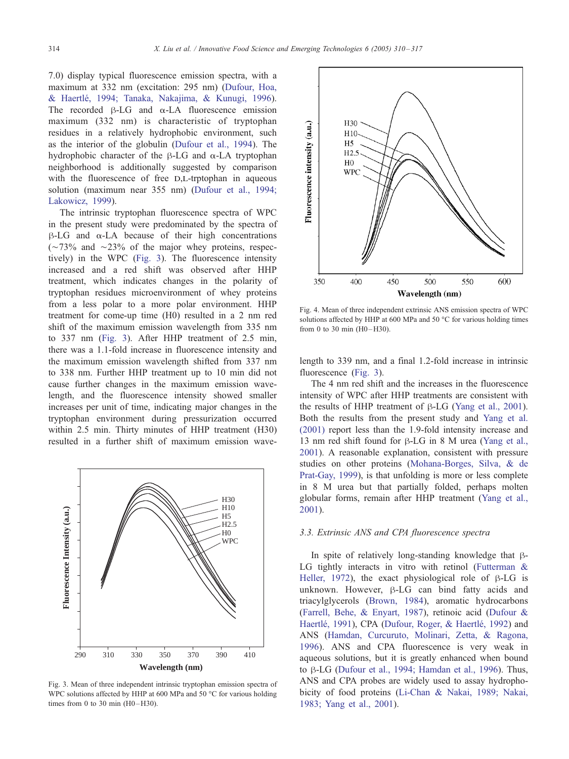<span id="page-4-0"></span>7.0) display typical fluorescence emission spectra, with a maximum at 332 nm (excitation: 295 nm) ([Dufour, Hoa,](#page-7-0) & Haertle´, 1994; Tanaka, Nakajima, & Kunugi, 1996). The recorded  $\beta$ -LG and  $\alpha$ -LA fluorescence emission maximum (332 nm) is characteristic of tryptophan residues in a relatively hydrophobic environment, such as the interior of the globulin ([Dufour et al., 1994\)](#page-7-0). The hydrophobic character of the  $\beta$ -LG and  $\alpha$ -LA tryptophan neighborhood is additionally suggested by comparison with the fluorescence of free D,L-trptophan in aqueous solution (maximum near 355 nm) ([Dufour et al., 1994;](#page-7-0) Lakowicz, 1999).

The intrinsic tryptophan fluorescence spectra of WPC in the present study were predominated by the spectra of  $\beta$ -LG and  $\alpha$ -LA because of their high concentrations  $(\sim 73\%$  and  $\sim 23\%$  of the major whey proteins, respectively) in the WPC (Fig. 3). The fluorescence intensity increased and a red shift was observed after HHP treatment, which indicates changes in the polarity of tryptophan residues microenvironment of whey proteins from a less polar to a more polar environment. HHP treatment for come-up time (H0) resulted in a 2 nm red shift of the maximum emission wavelength from 335 nm to 337 nm (Fig. 3). After HHP treatment of 2.5 min, there was a 1.1-fold increase in fluorescence intensity and the maximum emission wavelength shifted from 337 nm to 338 nm. Further HHP treatment up to 10 min did not cause further changes in the maximum emission wavelength, and the fluorescence intensity showed smaller increases per unit of time, indicating major changes in the tryptophan environment during pressurization occurred within 2.5 min. Thirty minutes of HHP treatment (H30) resulted in a further shift of maximum emission wave-



Fig. 3. Mean of three independent intrinsic tryptophan emission spectra of WPC solutions affected by HHP at 600 MPa and 50  $^{\circ}$ C for various holding times from 0 to 30 min  $(H0-H30)$ .



Fig. 4. Mean of three independent extrinsic ANS emission spectra of WPC solutions affected by HHP at 600 MPa and 50  $^{\circ}$ C for various holding times from 0 to 30 min  $(H0-H30)$ .

length to 339 nm, and a final 1.2-fold increase in intrinsic fluorescence (Fig. 3).

The 4 nm red shift and the increases in the fluorescence intensity of WPC after HHP treatments are consistent with the results of HHP treatment of  $\beta$ -LG ([Yang et al., 2001\)](#page-7-0). Both the results from the present study and [Yang et al.](#page-7-0) (2001) report less than the 1.9-fold intensity increase and 13 nm red shift found for  $\beta$ -LG in 8 M urea ([Yang et al.,](#page-7-0) 2001). A reasonable explanation, consistent with pressure studies on other proteins ([Mohana-Borges, Silva, & de](#page-7-0) Prat-Gay, 1999), is that unfolding is more or less complete in 8 M urea but that partially folded, perhaps molten globular forms, remain after HHP treatment ([Yang et al.,](#page-7-0) 2001).

# 3.3. Extrinsic ANS and CPA fluorescence spectra

In spite of relatively long-standing knowledge that  $\beta$ -LG tightly interacts in vitro with retinol ([Futterman &](#page-7-0) Heller, 1972), the exact physiological role of  $\beta$ -LG is unknown. However,  $\beta$ -LG can bind fatty acids and triacylglycerols ([Brown, 1984\)](#page-7-0), aromatic hydrocarbons ([Farrell, Behe, & Enyart, 1987\)](#page-7-0), retinoic acid ([Dufour &](#page-7-0) Haertlé, 1991), CPA (Dufour, Roger, & Haertlé, 1992) and ANS ([Hamdan, Curcuruto, Molinari, Zetta, & Ragona,](#page-7-0) 1996). ANS and CPA fluorescence is very weak in aqueous solutions, but it is greatly enhanced when bound to  $\beta$ -LG ([Dufour et al., 1994; Hamdan et al., 1996\)](#page-7-0). Thus, ANS and CPA probes are widely used to assay hydrophobicity of food proteins ([Li-Chan & Nakai, 1989; Nakai,](#page-7-0) 1983; Yang et al., 2001).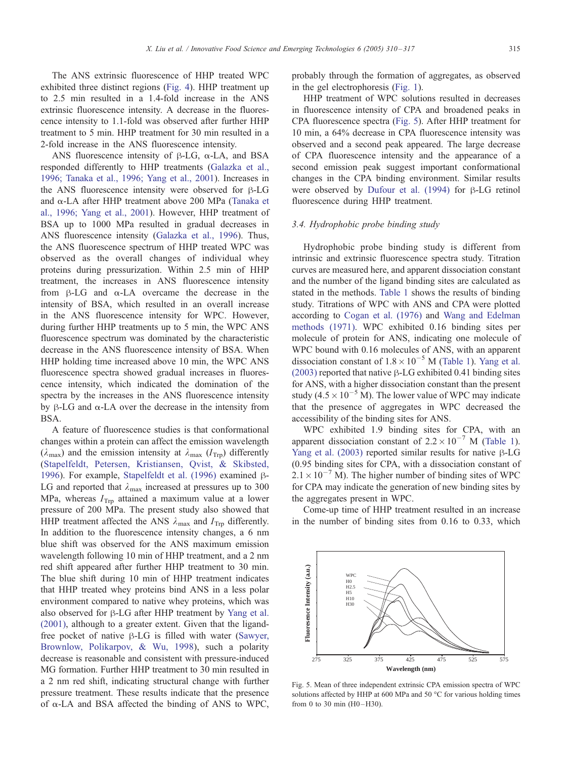The ANS extrinsic fluorescence of HHP treated WPC exhibited three distinct regions ([Fig. 4\)](#page-4-0). HHP treatment up to 2.5 min resulted in a 1.4-fold increase in the ANS extrinsic fluorescence intensity. A decrease in the fluorescence intensity to 1.1-fold was observed after further HHP treatment to 5 min. HHP treatment for 30 min resulted in a 2-fold increase in the ANS fluorescence intensity.

ANS fluorescence intensity of  $\beta$ -LG,  $\alpha$ -LA, and BSA responded differently to HHP treatments ([Galazka et al.,](#page-7-0) 1996; Tanaka et al., 1996; Yang et al., 2001). Increases in the ANS fluorescence intensity were observed for  $\beta$ -LG and a-LA after HHP treatment above 200 MPa ([Tanaka et](#page-7-0) al., 1996; Yang et al., 2001). However, HHP treatment of BSA up to 1000 MPa resulted in gradual decreases in ANS fluorescence intensity ([Galazka et al., 1996\)](#page-7-0). Thus, the ANS fluorescence spectrum of HHP treated WPC was observed as the overall changes of individual whey proteins during pressurization. Within 2.5 min of HHP treatment, the increases in ANS fluorescence intensity from  $\beta$ -LG and  $\alpha$ -LA overcame the decrease in the intensity of BSA, which resulted in an overall increase in the ANS fluorescence intensity for WPC. However, during further HHP treatments up to 5 min, the WPC ANS fluorescence spectrum was dominated by the characteristic decrease in the ANS fluorescence intensity of BSA. When HHP holding time increased above 10 min, the WPC ANS fluorescence spectra showed gradual increases in fluorescence intensity, which indicated the domination of the spectra by the increases in the ANS fluorescence intensity by  $\beta$ -LG and  $\alpha$ -LA over the decrease in the intensity from BSA.

A feature of fluorescence studies is that conformational changes within a protein can affect the emission wavelength  $(\lambda_{\text{max}})$  and the emission intensity at  $\lambda_{\text{max}}$  ( $I_{\text{Trp}}$ ) differently ([Stapelfeldt, Petersen, Kristiansen, Qvist, & Skibsted,](#page-7-0) 1996). For example, [Stapelfeldt et al. \(1996\)](#page-7-0) examined  $\beta$ -LG and reported that  $\lambda_{\text{max}}$  increased at pressures up to 300 MPa, whereas  $I_{\text{Trp}}$  attained a maximum value at a lower pressure of 200 MPa. The present study also showed that HHP treatment affected the ANS  $\lambda_{\text{max}}$  and  $I_{\text{Trp}}$  differently. In addition to the fluorescence intensity changes, a 6 nm blue shift was observed for the ANS maximum emission wavelength following 10 min of HHP treatment, and a 2 nm red shift appeared after further HHP treatment to 30 min. The blue shift during 10 min of HHP treatment indicates that HHP treated whey proteins bind ANS in a less polar environment compared to native whey proteins, which was also observed for  $\beta$ -LG after HHP treatment by [Yang et al.](#page-7-0) (2001), although to a greater extent. Given that the ligandfree pocket of native  $\beta$ -LG is filled with water ([Sawyer,](#page-7-0) Brownlow, Polikarpov, & Wu, 1998), such a polarity decrease is reasonable and consistent with pressure-induced MG formation. Further HHP treatment to 30 min resulted in a 2 nm red shift, indicating structural change with further pressure treatment. These results indicate that the presence of  $\alpha$ -LA and BSA affected the binding of ANS to WPC, probably through the formation of aggregates, as observed in the gel electrophoresis ([Fig. 1\)](#page-3-0).

HHP treatment of WPC solutions resulted in decreases in fluorescence intensity of CPA and broadened peaks in CPA fluorescence spectra (Fig. 5). After HHP treatment for 10 min, a 64% decrease in CPA fluorescence intensity was observed and a second peak appeared. The large decrease of CPA fluorescence intensity and the appearance of a second emission peak suggest important conformational changes in the CPA binding environment. Similar results were observed by Dufour et al.  $(1994)$  for  $\beta$ -LG retinol fluorescence during HHP treatment.

## 3.4. Hydrophobic probe binding study

Hydrophobic probe binding study is different from intrinsic and extrinsic fluorescence spectra study. Titration curves are measured here, and apparent dissociation constant and the number of the ligand binding sites are calculated as stated in the methods. [Table 1](#page-6-0) shows the results of binding study. Titrations of WPC with ANS and CPA were plotted according to [Cogan et al. \(1976\)](#page-7-0) and [Wang and Edelman](#page-7-0) methods (1971). WPC exhibited 0.16 binding sites per molecule of protein for ANS, indicating one molecule of WPC bound with 0.16 molecules of ANS, with an apparent dissociation constant of  $1.8 \times 10^{-5}$  M ([Table 1\)](#page-6-0). [Yang et al.](#page-7-0)  $(2003)$  reported that native  $\beta$ -LG exhibited 0.41 binding sites for ANS, with a higher dissociation constant than the present study (4.5  $\times$  10<sup>-5</sup> M). The lower value of WPC may indicate that the presence of aggregates in WPC decreased the accessibility of the binding sites for ANS.

WPC exhibited 1.9 binding sites for CPA, with an apparent dissociation constant of  $2.2 \times 10^{-7}$  M ([Table 1\)](#page-6-0). [Yang et al. \(2003\)](#page-7-0) reported similar results for native  $\beta$ -LG (0.95 binding sites for CPA, with a dissociation constant of  $2.1 \times 10^{-7}$  M). The higher number of binding sites of WPC for CPA may indicate the generation of new binding sites by the aggregates present in WPC.

Come-up time of HHP treatment resulted in an increase in the number of binding sites from 0.16 to 0.33, which



Fig. 5. Mean of three independent extrinsic CPA emission spectra of WPC solutions affected by HHP at 600 MPa and 50  $^{\circ}$ C for various holding times from 0 to 30 min  $(H0-H30)$ .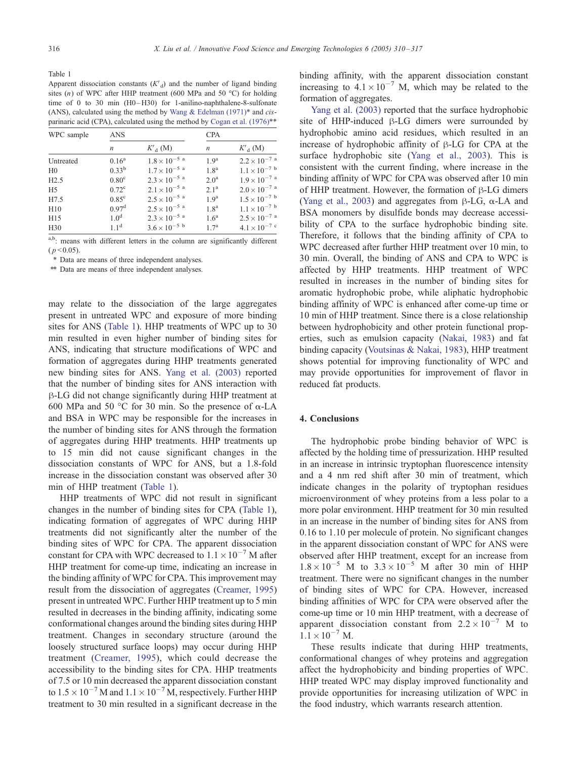<span id="page-6-0"></span>Table 1

Apparent dissociation constants  $(K<sub>d</sub>)$  and the number of ligand binding sites (n) of WPC after HHP treatment (600 MPa and 50 °C) for holding time of 0 to 30 min  $(H0-H30)$  for 1-anilino-naphthalene-8-sulfonate (ANS), calculated using the method by [Wang & Edelman \(1971\)](#page-7-0)\* and cisparinaric acid (CPA), calculated using the method by Cogan et al.  $(1976)$ <sup>\*\*</sup>

| WPC sample     | <b>ANS</b>        |                        | <b>CPA</b>       |                        |
|----------------|-------------------|------------------------|------------------|------------------------|
|                | n                 | $K'_{d}$ (M)           | n                | $K'_{d}$ (M)           |
| Untreated      | $0.16^{\rm a}$    | $1.8\times10^{-5}$ a   | 19 <sup>a</sup>  | $2.2 \times 10^{-7}$ a |
| H <sub>0</sub> | $0.33^{b}$        | $1.7\times10^{-5}$ a   | 1.8 <sup>a</sup> | $1.1 \times 10^{-7}$ b |
| H2.5           | 0.80 <sup>c</sup> | $2.3\times10^{-5}$ a   | 2.0 <sup>a</sup> | $1.9 \times 10^{-7}$ a |
| H <sub>5</sub> | $0.72^{\circ}$    | $2.1 \times 10^{-5}$ a | 2.1 <sup>a</sup> | $2.0\times10^{-7}$ a   |
| H7.5           | $0.85^{\circ}$    | $2.5\times10^{-5}$ a   | 1.9 <sup>a</sup> | $1.5\times10^{-7}$ b   |
| H10            | $0.97^{\rm d}$    | $2.5 \times 10^{-5}$ a | 1.8 <sup>a</sup> | $1.1 \times 10^{-7}$ b |
| H15            | 1.0 <sup>d</sup>  | $2.3\times10^{-5}$ a   | $1.6^a$          | $2.5 \times 10^{-7}$ a |
| H30            | $1 \, 1^d$        | $3.6 \times 10^{-5}$ b | $1.7^{\rm a}$    | $4.1 \times 10^{-7}$   |

a,b: means with different letters in the column are significantly different  $(p < 0.05)$ .

\* Data are means of three independent analyses.

\*\* Data are means of three independent analyses.

may relate to the dissociation of the large aggregates present in untreated WPC and exposure of more binding sites for ANS (Table 1). HHP treatments of WPC up to 30 min resulted in even higher number of binding sites for ANS, indicating that structure modifications of WPC and formation of aggregates during HHP treatments generated new binding sites for ANS. [Yang et al. \(2003\)](#page-7-0) reported that the number of binding sites for ANS interaction with  $\beta$ -LG did not change significantly during HHP treatment at 600 MPa and 50 °C for 30 min. So the presence of  $\alpha$ -LA and BSA in WPC may be responsible for the increases in the number of binding sites for ANS through the formation of aggregates during HHP treatments. HHP treatments up to 15 min did not cause significant changes in the dissociation constants of WPC for ANS, but a 1.8-fold increase in the dissociation constant was observed after 30 min of HHP treatment (Table 1).

HHP treatments of WPC did not result in significant changes in the number of binding sites for CPA (Table 1), indicating formation of aggregates of WPC during HHP treatments did not significantly alter the number of the binding sites of WPC for CPA. The apparent dissociation constant for CPA with WPC decreased to  $1.1 \times 10^{-7}$  M after HHP treatment for come-up time, indicating an increase in the binding affinity of WPC for CPA. This improvement may result from the dissociation of aggregates ([Creamer, 1995\)](#page-7-0) present in untreated WPC. Further HHP treatment up to 5 min resulted in decreases in the binding affinity, indicating some conformational changes around the binding sites during HHP treatment. Changes in secondary structure (around the loosely structured surface loops) may occur during HHP treatment ([Creamer, 1995\)](#page-7-0), which could decrease the accessibility to the binding sites for CPA. HHP treatments of 7.5 or 10 min decreased the apparent dissociation constant to  $1.5 \times 10^{-7}$  M and  $1.1 \times 10^{-7}$  M, respectively. Further HHP treatment to 30 min resulted in a significant decrease in the

binding affinity, with the apparent dissociation constant increasing to  $4.1 \times 10^{-7}$  M, which may be related to the formation of aggregates.

[Yang et al. \(2003\)](#page-7-0) reported that the surface hydrophobic site of HHP-induced  $\beta$ -LG dimers were surrounded by hydrophobic amino acid residues, which resulted in an increase of hydrophobic affinity of  $\beta$ -LG for CPA at the surface hydrophobic site ([Yang et al., 2003\)](#page-7-0). This is consistent with the current finding, where increase in the binding affinity of WPC for CPA was observed after 10 min of HHP treatment. However, the formation of  $\beta$ -LG dimers ([Yang et al., 2003\)](#page-7-0) and aggregates from  $\beta$ -LG,  $\alpha$ -LA and BSA monomers by disulfide bonds may decrease accessibility of CPA to the surface hydrophobic binding site. Therefore, it follows that the binding affinity of CPA to WPC decreased after further HHP treatment over 10 min, to 30 min. Overall, the binding of ANS and CPA to WPC is affected by HHP treatments. HHP treatment of WPC resulted in increases in the number of binding sites for aromatic hydrophobic probe, while aliphatic hydrophobic binding affinity of WPC is enhanced after come-up time or 10 min of HHP treatment. Since there is a close relationship between hydrophobicity and other protein functional properties, such as emulsion capacity ([Nakai, 1983\)](#page-7-0) and fat binding capacity ([Voutsinas & Nakai, 1983\)](#page-7-0), HHP treatment shows potential for improving functionality of WPC and may provide opportunities for improvement of flavor in reduced fat products.

## 4. Conclusions

The hydrophobic probe binding behavior of WPC is affected by the holding time of pressurization. HHP resulted in an increase in intrinsic tryptophan fluorescence intensity and a 4 nm red shift after 30 min of treatment, which indicate changes in the polarity of tryptophan residues microenvironment of whey proteins from a less polar to a more polar environment. HHP treatment for 30 min resulted in an increase in the number of binding sites for ANS from 0.16 to 1.10 per molecule of protein. No significant changes in the apparent dissociation constant of WPC for ANS were observed after HHP treatment, except for an increase from  $1.8 \times 10^{-5}$  M to  $3.3 \times 10^{-5}$  M after 30 min of HHP treatment. There were no significant changes in the number of binding sites of WPC for CPA. However, increased binding affinities of WPC for CPA were observed after the come-up time or 10 min HHP treatment, with a decrease of apparent dissociation constant from  $2.2 \times 10^{-7}$  M to  $1.1 \times 10^{-7}$  M.

These results indicate that during HHP treatments, conformational changes of whey proteins and aggregation affect the hydrophobicity and binding properties of WPC. HHP treated WPC may display improved functionality and provide opportunities for increasing utilization of WPC in the food industry, which warrants research attention.